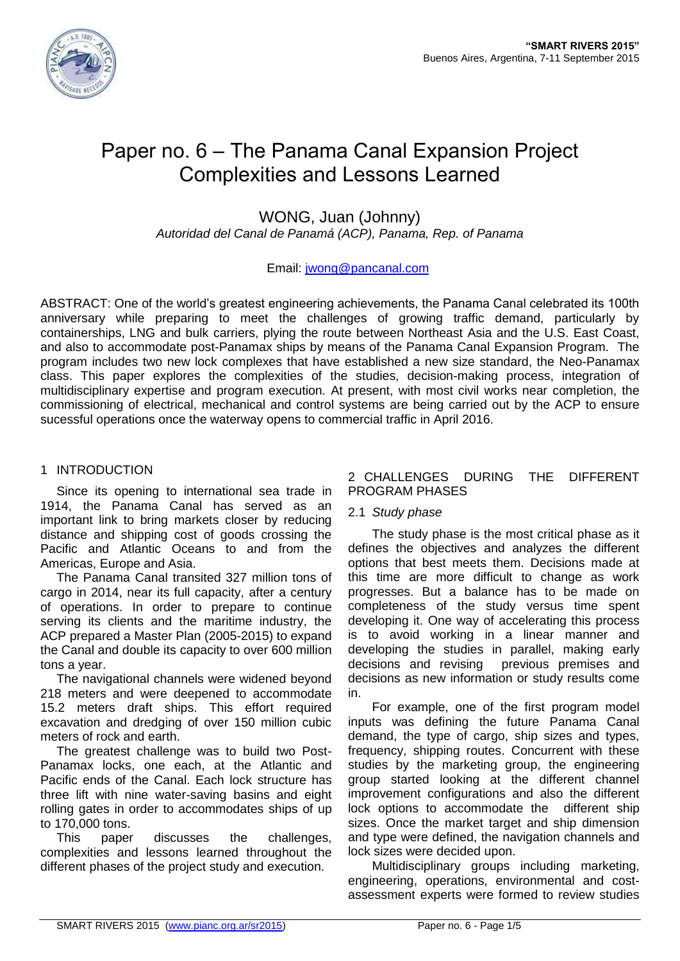

# Paper no. 6 – The Panama Canal Expansion Project Complexities and Lessons Learned

WONG, Juan (Johnny)

*Autoridad del Canal de Panamá (ACP), Panama, Rep. of Panama*

# Email: [jwong@pancanal.com](mailto:jwong@pancanal.com)

ABSTRACT: One of the world's greatest engineering achievements, the Panama Canal celebrated its 100th anniversary while preparing to meet the challenges of growing traffic demand, particularly by containerships, LNG and bulk carriers, plying the route between Northeast Asia and the U.S. East Coast, and also to accommodate post-Panamax ships by means of the Panama Canal Expansion Program. The program includes two new lock complexes that have established a new size standard, the Neo-Panamax class. This paper explores the complexities of the studies, decision-making process, integration of multidisciplinary expertise and program execution. At present, with most civil works near completion, the commissioning of electrical, mechanical and control systems are being carried out by the ACP to ensure sucessful operations once the waterway opens to commercial traffic in April 2016.

# 1 INTRODUCTION

Since its opening to international sea trade in 1914, the Panama Canal has served as an important link to bring markets closer by reducing distance and shipping cost of goods crossing the Pacific and Atlantic Oceans to and from the Americas, Europe and Asia.

The Panama Canal transited 327 million tons of cargo in 2014, near its full capacity, after a century of operations. In order to prepare to continue serving its clients and the maritime industry, the ACP prepared a Master Plan (2005-2015) to expand the Canal and double its capacity to over 600 million tons a year.

The navigational channels were widened beyond 218 meters and were deepened to accommodate 15.2 meters draft ships. This effort required excavation and dredging of over 150 million cubic meters of rock and earth.

The greatest challenge was to build two Post-Panamax locks, one each, at the Atlantic and Pacific ends of the Canal. Each lock structure has three lift with nine water-saving basins and eight rolling gates in order to accommodates ships of up to 170,000 tons.

This paper discusses the challenges, complexities and lessons learned throughout the different phases of the project study and execution.

# 2 CHALLENGES DURING THE DIFFERENT PROGRAM PHASES

# 2.1 *Study phase*

The study phase is the most critical phase as it defines the objectives and analyzes the different options that best meets them. Decisions made at this time are more difficult to change as work progresses. But a balance has to be made on completeness of the study versus time spent developing it. One way of accelerating this process is to avoid working in a linear manner and developing the studies in parallel, making early decisions and revising previous premises and decisions as new information or study results come in.

For example, one of the first program model inputs was defining the future Panama Canal demand, the type of cargo, ship sizes and types, frequency, shipping routes. Concurrent with these studies by the marketing group, the engineering group started looking at the different channel improvement configurations and also the different lock options to accommodate the different ship sizes. Once the market target and ship dimension and type were defined, the navigation channels and lock sizes were decided upon.

Multidisciplinary groups including marketing, engineering, operations, environmental and costassessment experts were formed to review studies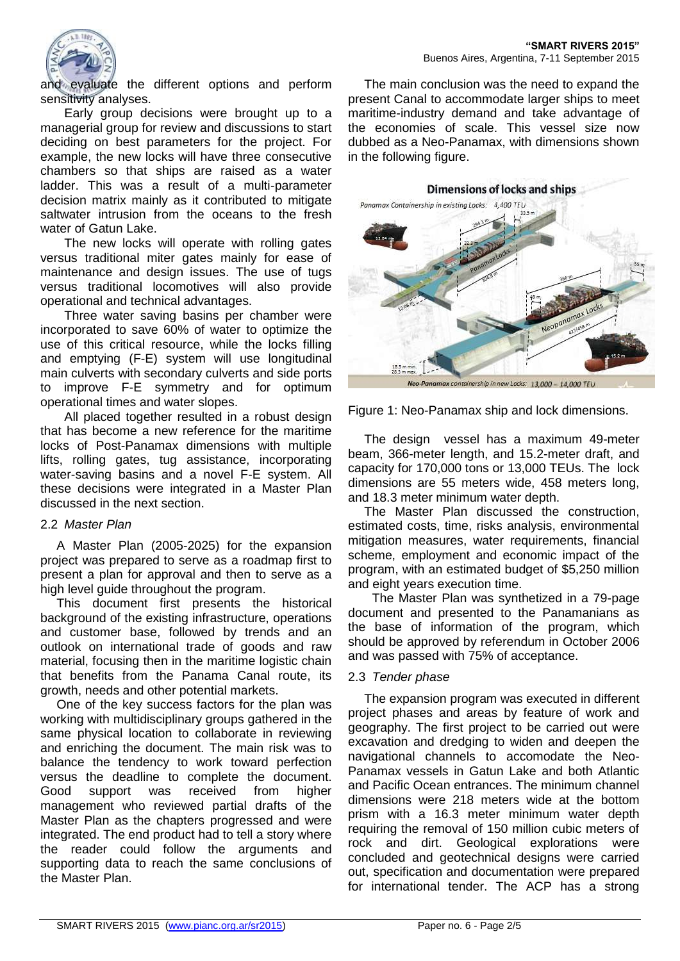

and evaluate the different options and perform sensitivity analyses.

Early group decisions were brought up to a managerial group for review and discussions to start deciding on best parameters for the project. For example, the new locks will have three consecutive chambers so that ships are raised as a water ladder. This was a result of a multi-parameter decision matrix mainly as it contributed to mitigate saltwater intrusion from the oceans to the fresh water of Gatun Lake.

The new locks will operate with rolling gates versus traditional miter gates mainly for ease of maintenance and design issues. The use of tugs versus traditional locomotives will also provide operational and technical advantages.

Three water saving basins per chamber were incorporated to save 60% of water to optimize the use of this critical resource, while the locks filling and emptying (F-E) system will use longitudinal main culverts with secondary culverts and side ports to improve F-E symmetry and for optimum operational times and water slopes.

All placed together resulted in a robust design that has become a new reference for the maritime locks of Post-Panamax dimensions with multiple lifts, rolling gates, tug assistance, incorporating water-saving basins and a novel F-E system. All these decisions were integrated in a Master Plan discussed in the next section.

#### 2.2 *Master Plan*

A Master Plan (2005-2025) for the expansion project was prepared to serve as a roadmap first to present a plan for approval and then to serve as a high level guide throughout the program.

This document first presents the historical background of the existing infrastructure, operations and customer base, followed by trends and an outlook on international trade of goods and raw material, focusing then in the maritime logistic chain that benefits from the Panama Canal route, its growth, needs and other potential markets.

One of the key success factors for the plan was working with multidisciplinary groups gathered in the same physical location to collaborate in reviewing and enriching the document. The main risk was to balance the tendency to work toward perfection versus the deadline to complete the document. Good support was received from higher management who reviewed partial drafts of the Master Plan as the chapters progressed and were integrated. The end product had to tell a story where the reader could follow the arguments and supporting data to reach the same conclusions of the Master Plan.

The main conclusion was the need to expand the present Canal to accommodate larger ships to meet maritime-industry demand and take advantage of the economies of scale. This vessel size now dubbed as a Neo-Panamax, with dimensions shown in the following figure.



ership in new Locks: 13,000 - 14,000 TEL

Figure 1: Neo-Panamax ship and lock dimensions.

The design vessel has a maximum 49-meter beam, 366-meter length, and 15.2-meter draft, and capacity for 170,000 tons or 13,000 TEUs. The lock dimensions are 55 meters wide, 458 meters long, and 18.3 meter minimum water depth.

The Master Plan discussed the construction, estimated costs, time, risks analysis, environmental mitigation measures, water requirements, financial scheme, employment and economic impact of the program, with an estimated budget of \$5,250 million and eight years execution time.

The Master Plan was synthetized in a 79-page document and presented to the Panamanians as the base of information of the program, which should be approved by referendum in October 2006 and was passed with 75% of acceptance.

#### 2.3 *Tender phase*

The expansion program was executed in different project phases and areas by feature of work and geography. The first project to be carried out were excavation and dredging to widen and deepen the navigational channels to accomodate the Neo-Panamax vessels in Gatun Lake and both Atlantic and Pacific Ocean entrances. The minimum channel dimensions were 218 meters wide at the bottom prism with a 16.3 meter minimum water depth requiring the removal of 150 million cubic meters of rock and dirt. Geological explorations were concluded and geotechnical designs were carried out, specification and documentation were prepared for international tender. The ACP has a strong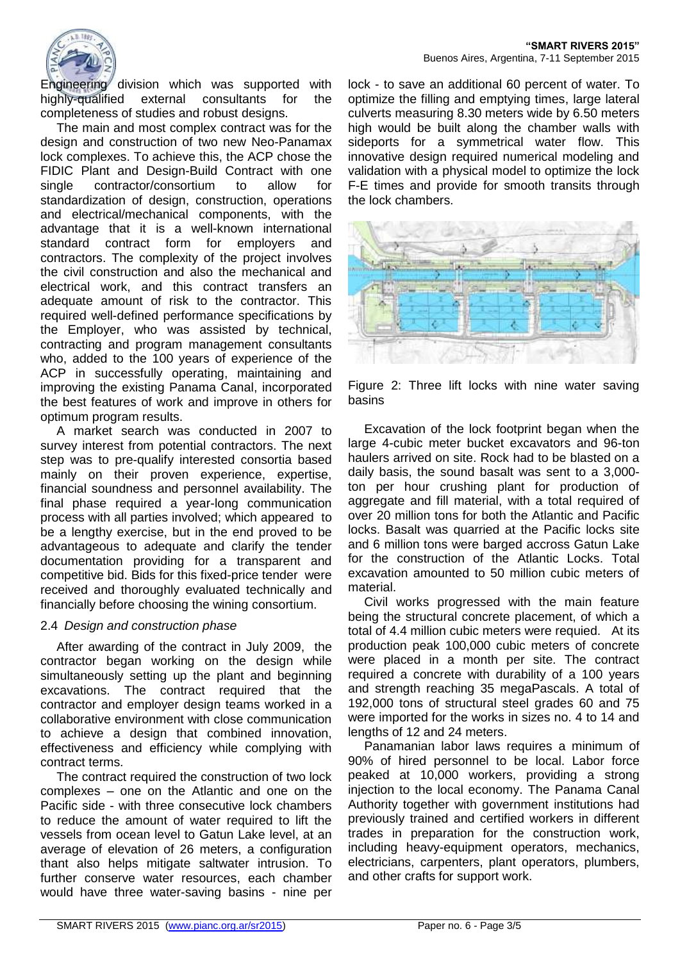

Engineering division which was supported with highly-qualified external consultants for the completeness of studies and robust designs.

The main and most complex contract was for the design and construction of two new Neo-Panamax lock complexes. To achieve this, the ACP chose the FIDIC Plant and Design-Build Contract with one single contractor/consortium to allow for standardization of design, construction, operations and electrical/mechanical components, with the advantage that it is a well-known international standard contract form for employers and contractors. The complexity of the project involves the civil construction and also the mechanical and electrical work, and this contract transfers an adequate amount of risk to the contractor. This required well-defined performance specifications by the Employer, who was assisted by technical, contracting and program management consultants who, added to the 100 years of experience of the ACP in successfully operating, maintaining and improving the existing Panama Canal, incorporated the best features of work and improve in others for optimum program results.

A market search was conducted in 2007 to survey interest from potential contractors. The next step was to pre-qualify interested consortia based mainly on their proven experience, expertise, financial soundness and personnel availability. The final phase required a year-long communication process with all parties involved; which appeared to be a lengthy exercise, but in the end proved to be advantageous to adequate and clarify the tender documentation providing for a transparent and competitive bid. Bids for this fixed-price tender were received and thoroughly evaluated technically and financially before choosing the wining consortium.

#### 2.4 *Design and construction phase*

After awarding of the contract in July 2009, the contractor began working on the design while simultaneously setting up the plant and beginning excavations. The contract required that the contractor and employer design teams worked in a collaborative environment with close communication to achieve a design that combined innovation, effectiveness and efficiency while complying with contract terms.

The contract required the construction of two lock complexes – one on the Atlantic and one on the Pacific side - with three consecutive lock chambers to reduce the amount of water required to lift the vessels from ocean level to Gatun Lake level, at an average of elevation of 26 meters, a configuration thant also helps mitigate saltwater intrusion. To further conserve water resources, each chamber would have three water-saving basins - nine per

lock - to save an additional 60 percent of water. To optimize the filling and emptying times, large lateral culverts measuring 8.30 meters wide by 6.50 meters high would be built along the chamber walls with sideports for a symmetrical water flow. This innovative design required numerical modeling and validation with a physical model to optimize the lock F-E times and provide for smooth transits through the lock chambers.



Figure 2: Three lift locks with nine water saving basins

Excavation of the lock footprint began when the large 4-cubic meter bucket excavators and 96-ton haulers arrived on site. Rock had to be blasted on a daily basis, the sound basalt was sent to a 3,000 ton per hour crushing plant for production of aggregate and fill material, with a total required of over 20 million tons for both the Atlantic and Pacific locks. Basalt was quarried at the Pacific locks site and 6 million tons were barged accross Gatun Lake for the construction of the Atlantic Locks. Total excavation amounted to 50 million cubic meters of material.

Civil works progressed with the main feature being the structural concrete placement, of which a total of 4.4 million cubic meters were requied. At its production peak 100,000 cubic meters of concrete were placed in a month per site. The contract required a concrete with durability of a 100 years and strength reaching 35 megaPascals. A total of 192,000 tons of structural steel grades 60 and 75 were imported for the works in sizes no. 4 to 14 and lengths of 12 and 24 meters.

Panamanian labor laws requires a minimum of 90% of hired personnel to be local. Labor force peaked at 10,000 workers, providing a strong injection to the local economy. The Panama Canal Authority together with government institutions had previously trained and certified workers in different trades in preparation for the construction work, including heavy-equipment operators, mechanics, electricians, carpenters, plant operators, plumbers, and other crafts for support work.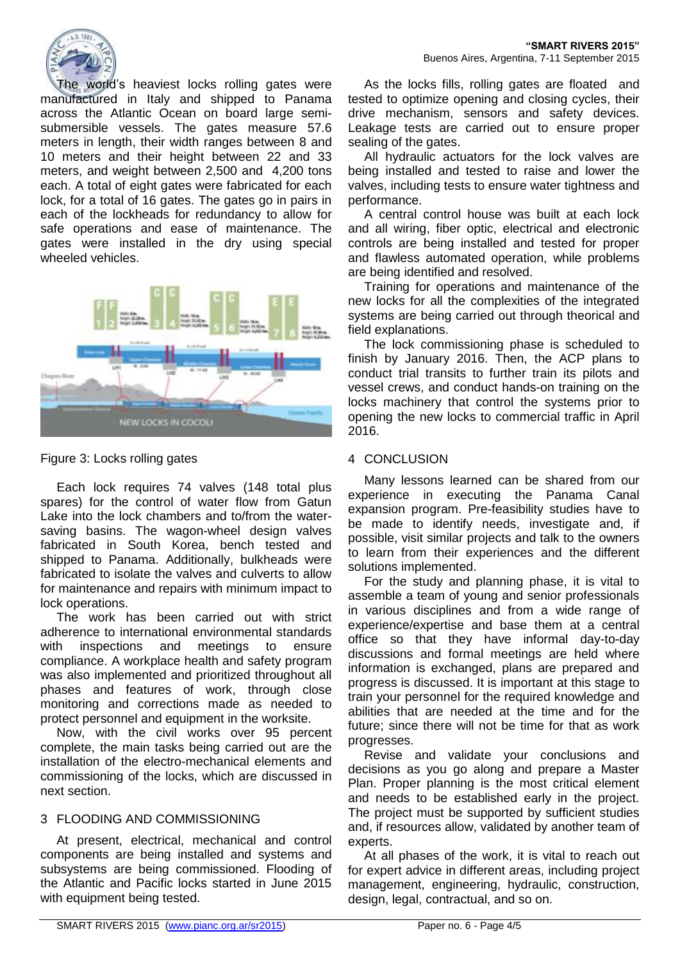

The world's heaviest locks rolling gates were manufactured in Italy and shipped to Panama across the Atlantic Ocean on board large semisubmersible vessels. The gates measure 57.6 meters in length, their width ranges between 8 and 10 meters and their height between 22 and 33 meters, and weight between 2,500 and 4,200 tons each. A total of eight gates were fabricated for each lock, for a total of 16 gates. The gates go in pairs in each of the lockheads for redundancy to allow for safe operations and ease of maintenance. The gates were installed in the dry using special wheeled vehicles.



# Figure 3: Locks rolling gates

Each lock requires 74 valves (148 total plus spares) for the control of water flow from Gatun Lake into the lock chambers and to/from the watersaving basins. The wagon-wheel design valves fabricated in South Korea, bench tested and shipped to Panama. Additionally, bulkheads were fabricated to isolate the valves and culverts to allow for maintenance and repairs with minimum impact to lock operations.

The work has been carried out with strict adherence to international environmental standards with inspections and meetings to ensure compliance. A workplace health and safety program was also implemented and prioritized throughout all phases and features of work, through close monitoring and corrections made as needed to protect personnel and equipment in the worksite.

Now, with the civil works over 95 percent complete, the main tasks being carried out are the installation of the electro-mechanical elements and commissioning of the locks, which are discussed in next section.

# 3 FLOODING AND COMMISSIONING

At present, electrical, mechanical and control components are being installed and systems and subsystems are being commissioned. Flooding of the Atlantic and Pacific locks started in June 2015 with equipment being tested.

As the locks fills, rolling gates are floated and tested to optimize opening and closing cycles, their drive mechanism, sensors and safety devices. Leakage tests are carried out to ensure proper sealing of the gates.

All hydraulic actuators for the lock valves are being installed and tested to raise and lower the valves, including tests to ensure water tightness and performance.

A central control house was built at each lock and all wiring, fiber optic, electrical and electronic controls are being installed and tested for proper and flawless automated operation, while problems are being identified and resolved.

Training for operations and maintenance of the new locks for all the complexities of the integrated systems are being carried out through theorical and field explanations.

The lock commissioning phase is scheduled to finish by January 2016. Then, the ACP plans to conduct trial transits to further train its pilots and vessel crews, and conduct hands-on training on the locks machinery that control the systems prior to opening the new locks to commercial traffic in April 2016.

# 4 CONCLUSION

Many lessons learned can be shared from our experience in executing the Panama Canal expansion program. Pre-feasibility studies have to be made to identify needs, investigate and, if possible, visit similar projects and talk to the owners to learn from their experiences and the different solutions implemented.

For the study and planning phase, it is vital to assemble a team of young and senior professionals in various disciplines and from a wide range of experience/expertise and base them at a central office so that they have informal day-to-day discussions and formal meetings are held where information is exchanged, plans are prepared and progress is discussed. It is important at this stage to train your personnel for the required knowledge and abilities that are needed at the time and for the future; since there will not be time for that as work progresses.

Revise and validate your conclusions and decisions as you go along and prepare a Master Plan. Proper planning is the most critical element and needs to be established early in the project. The project must be supported by sufficient studies and, if resources allow, validated by another team of experts.

At all phases of the work, it is vital to reach out for expert advice in different areas, including project management, engineering, hydraulic, construction, design, legal, contractual, and so on.